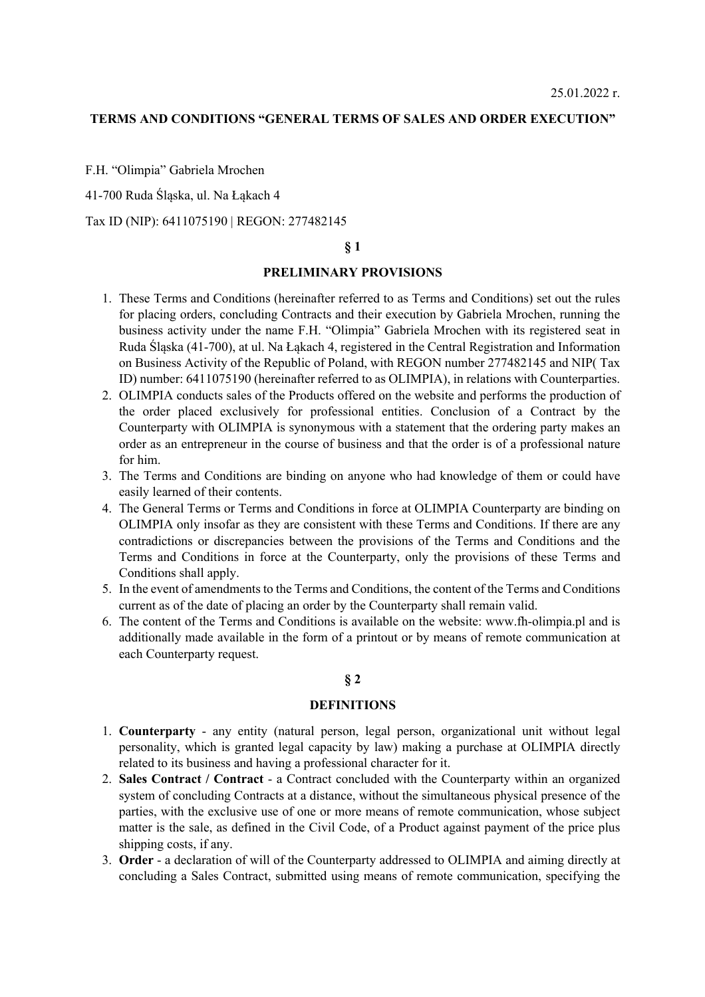#### **TERMS AND CONDITIONS "GENERAL TERMS OF SALES AND ORDER EXECUTION"**

F.H. "Olimpia" Gabriela Mrochen

41-700 Ruda Ślaska, ul. Na Łakach 4

Tax ID (NIP): 6411075190 | REGON: 277482145

### **§ 1**

# **PRELIMINARY PROVISIONS**

- 1. These Terms and Conditions (hereinafter referred to as Terms and Conditions) set out the rules for placing orders, concluding Contracts and their execution by Gabriela Mrochen, running the business activity under the name F.H. "Olimpia" Gabriela Mrochen with its registered seat in Ruda Śląska (41-700), at ul. Na Łąkach 4, registered in the Central Registration and Information on Business Activity of the Republic of Poland, with REGON number 277482145 and NIP( Tax ID) number: 6411075190 (hereinafter referred to as OLIMPIA), in relations with Counterparties.
- 2. OLIMPIA conducts sales of the Products offered on the website and performs the production of the order placed exclusively for professional entities. Conclusion of a Contract by the Counterparty with OLIMPIA is synonymous with a statement that the ordering party makes an order as an entrepreneur in the course of business and that the order is of a professional nature for him.
- 3. The Terms and Conditions are binding on anyone who had knowledge of them or could have easily learned of their contents.
- 4. The General Terms or Terms and Conditions in force at OLIMPIA Counterparty are binding on OLIMPIA only insofar as they are consistent with these Terms and Conditions. If there are any contradictions or discrepancies between the provisions of the Terms and Conditions and the Terms and Conditions in force at the Counterparty, only the provisions of these Terms and Conditions shall apply.
- 5. In the event of amendments to the Terms and Conditions, the content of the Terms and Conditions current as of the date of placing an order by the Counterparty shall remain valid.
- 6. The content of the Terms and Conditions is available on the website: www.fh-olimpia.pl and is additionally made available in the form of a printout or by means of remote communication at each Counterparty request.

# **§ 2**

### **DEFINITIONS**

- 1. **Counterparty** any entity (natural person, legal person, organizational unit without legal personality, which is granted legal capacity by law) making a purchase at OLIMPIA directly related to its business and having a professional character for it.
- 2. **Sales Contract / Contract** a Contract concluded with the Counterparty within an organized system of concluding Contracts at a distance, without the simultaneous physical presence of the parties, with the exclusive use of one or more means of remote communication, whose subject matter is the sale, as defined in the Civil Code, of a Product against payment of the price plus shipping costs, if any.
- 3. **Order** a declaration of will of the Counterparty addressed to OLIMPIA and aiming directly at concluding a Sales Contract, submitted using means of remote communication, specifying the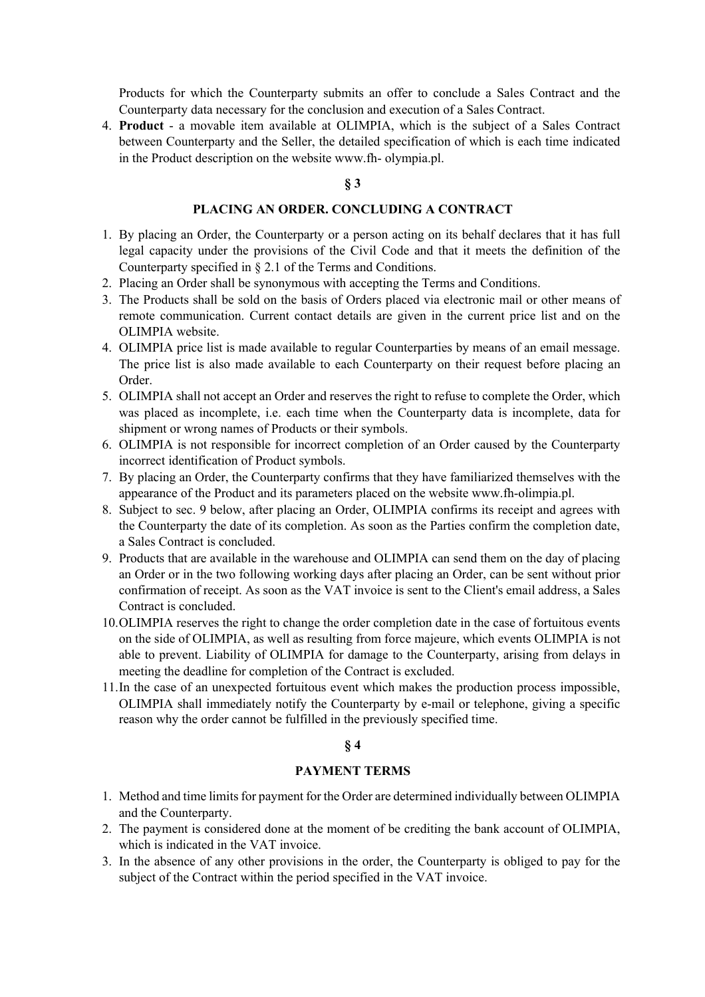Products for which the Counterparty submits an offer to conclude a Sales Contract and the Counterparty data necessary for the conclusion and execution of a Sales Contract.

4. **Product** - a movable item available at OLIMPIA, which is the subject of a Sales Contract between Counterparty and the Seller, the detailed specification of which is each time indicated in the Product description on the website www.fh- olympia.pl.

# **§ 3**

# **PLACING AN ORDER. CONCLUDING A CONTRACT**

- 1. By placing an Order, the Counterparty or a person acting on its behalf declares that it has full legal capacity under the provisions of the Civil Code and that it meets the definition of the Counterparty specified in § 2.1 of the Terms and Conditions.
- 2. Placing an Order shall be synonymous with accepting the Terms and Conditions.
- 3. The Products shall be sold on the basis of Orders placed via electronic mail or other means of remote communication. Current contact details are given in the current price list and on the OLIMPIA website.
- 4. OLIMPIA price list is made available to regular Counterparties by means of an email message. The price list is also made available to each Counterparty on their request before placing an Order.
- 5. OLIMPIA shall not accept an Order and reserves the right to refuse to complete the Order, which was placed as incomplete, i.e. each time when the Counterparty data is incomplete, data for shipment or wrong names of Products or their symbols.
- 6. OLIMPIA is not responsible for incorrect completion of an Order caused by the Counterparty incorrect identification of Product symbols.
- 7. By placing an Order, the Counterparty confirms that they have familiarized themselves with the appearance of the Product and its parameters placed on the website www.fh-olimpia.pl.
- 8. Subject to sec. 9 below, after placing an Order, OLIMPIA confirms its receipt and agrees with the Counterparty the date of its completion. As soon as the Parties confirm the completion date, a Sales Contract is concluded.
- 9. Products that are available in the warehouse and OLIMPIA can send them on the day of placing an Order or in the two following working days after placing an Order, can be sent without prior confirmation of receipt. As soon as the VAT invoice is sent to the Client's email address, a Sales Contract is concluded.
- 10.OLIMPIA reserves the right to change the order completion date in the case of fortuitous events on the side of OLIMPIA, as well as resulting from force majeure, which events OLIMPIA is not able to prevent. Liability of OLIMPIA for damage to the Counterparty, arising from delays in meeting the deadline for completion of the Contract is excluded.
- 11.In the case of an unexpected fortuitous event which makes the production process impossible, OLIMPIA shall immediately notify the Counterparty by e-mail or telephone, giving a specific reason why the order cannot be fulfilled in the previously specified time.

# **§ 4**

### **PAYMENT TERMS**

- 1. Method and time limits for payment for the Order are determined individually between OLIMPIA and the Counterparty.
- 2. The payment is considered done at the moment of be crediting the bank account of OLIMPIA, which is indicated in the VAT invoice.
- 3. In the absence of any other provisions in the order, the Counterparty is obliged to pay for the subject of the Contract within the period specified in the VAT invoice.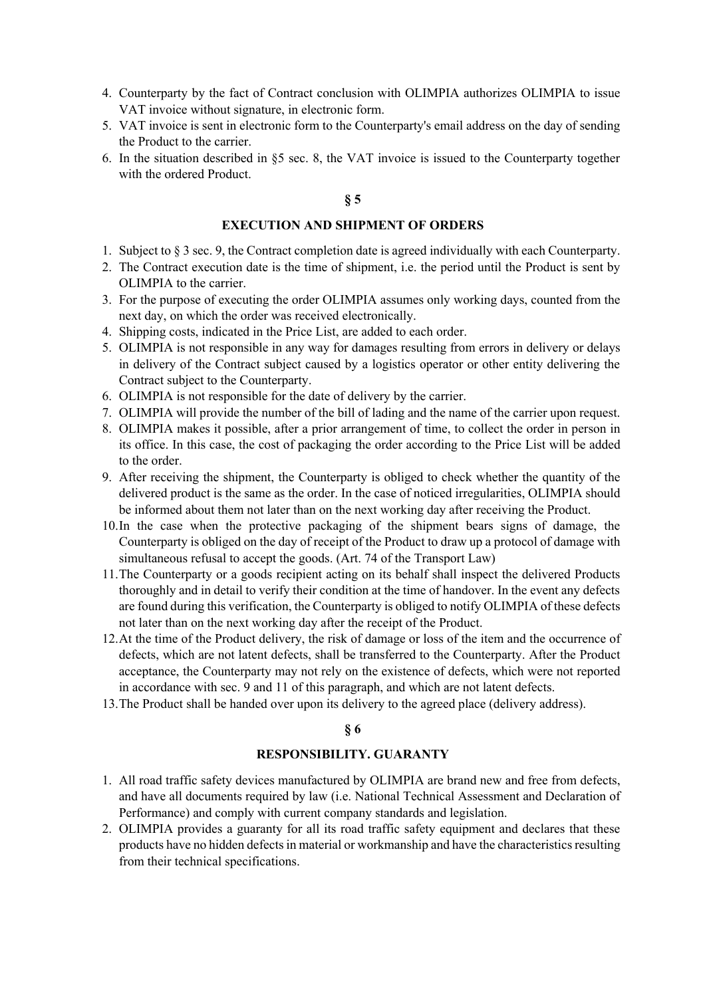- 4. Counterparty by the fact of Contract conclusion with OLIMPIA authorizes OLIMPIA to issue VAT invoice without signature, in electronic form.
- 5. VAT invoice is sent in electronic form to the Counterparty's email address on the day of sending the Product to the carrier.
- 6. In the situation described in §5 sec. 8, the VAT invoice is issued to the Counterparty together with the ordered Product.

# **§ 5**

## **EXECUTION AND SHIPMENT OF ORDERS**

- 1. Subject to § 3 sec. 9, the Contract completion date is agreed individually with each Counterparty.
- 2. The Contract execution date is the time of shipment, i.e. the period until the Product is sent by OLIMPIA to the carrier.
- 3. For the purpose of executing the order OLIMPIA assumes only working days, counted from the next day, on which the order was received electronically.
- 4. Shipping costs, indicated in the Price List, are added to each order.
- 5. OLIMPIA is not responsible in any way for damages resulting from errors in delivery or delays in delivery of the Contract subject caused by a logistics operator or other entity delivering the Contract subject to the Counterparty.
- 6. OLIMPIA is not responsible for the date of delivery by the carrier.
- 7. OLIMPIA will provide the number of the bill of lading and the name of the carrier upon request.
- 8. OLIMPIA makes it possible, after a prior arrangement of time, to collect the order in person in its office. In this case, the cost of packaging the order according to the Price List will be added to the order.
- 9. After receiving the shipment, the Counterparty is obliged to check whether the quantity of the delivered product is the same as the order. In the case of noticed irregularities, OLIMPIA should be informed about them not later than on the next working day after receiving the Product.
- 10.In the case when the protective packaging of the shipment bears signs of damage, the Counterparty is obliged on the day of receipt of the Product to draw up a protocol of damage with simultaneous refusal to accept the goods. (Art. 74 of the Transport Law)
- 11.The Counterparty or a goods recipient acting on its behalf shall inspect the delivered Products thoroughly and in detail to verify their condition at the time of handover. In the event any defects are found during this verification, the Counterparty is obliged to notify OLIMPIA of these defects not later than on the next working day after the receipt of the Product.
- 12.At the time of the Product delivery, the risk of damage or loss of the item and the occurrence of defects, which are not latent defects, shall be transferred to the Counterparty. After the Product acceptance, the Counterparty may not rely on the existence of defects, which were not reported in accordance with sec. 9 and 11 of this paragraph, and which are not latent defects.
- 13.The Product shall be handed over upon its delivery to the agreed place (delivery address).

### **§ 6**

### **RESPONSIBILITY. GUARANTY**

- 1. All road traffic safety devices manufactured by OLIMPIA are brand new and free from defects, and have all documents required by law (i.e. National Technical Assessment and Declaration of Performance) and comply with current company standards and legislation.
- 2. OLIMPIA provides a guaranty for all its road traffic safety equipment and declares that these products have no hidden defects in material or workmanship and have the characteristics resulting from their technical specifications.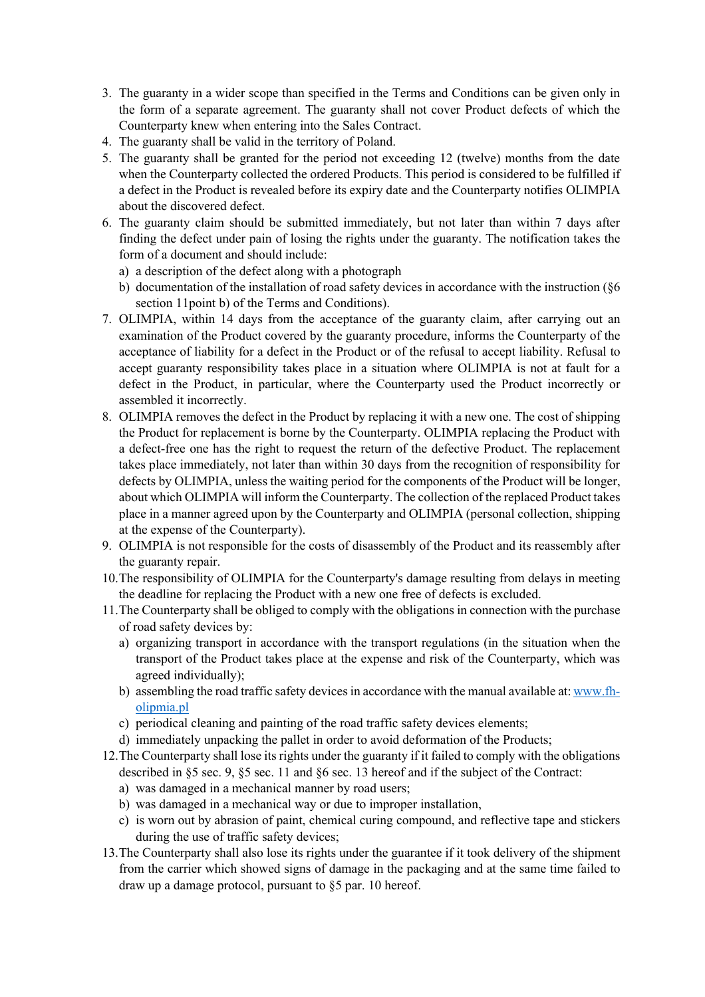- 3. The guaranty in a wider scope than specified in the Terms and Conditions can be given only in the form of a separate agreement. The guaranty shall not cover Product defects of which the Counterparty knew when entering into the Sales Contract.
- 4. The guaranty shall be valid in the territory of Poland.
- 5. The guaranty shall be granted for the period not exceeding 12 (twelve) months from the date when the Counterparty collected the ordered Products. This period is considered to be fulfilled if a defect in the Product is revealed before its expiry date and the Counterparty notifies OLIMPIA about the discovered defect.
- 6. The guaranty claim should be submitted immediately, but not later than within 7 days after finding the defect under pain of losing the rights under the guaranty. The notification takes the form of a document and should include:
	- a) a description of the defect along with a photograph
	- b) documentation of the installation of road safety devices in accordance with the instruction (§6 section 11point b) of the Terms and Conditions).
- 7. OLIMPIA, within 14 days from the acceptance of the guaranty claim, after carrying out an examination of the Product covered by the guaranty procedure, informs the Counterparty of the acceptance of liability for a defect in the Product or of the refusal to accept liability. Refusal to accept guaranty responsibility takes place in a situation where OLIMPIA is not at fault for a defect in the Product, in particular, where the Counterparty used the Product incorrectly or assembled it incorrectly.
- 8. OLIMPIA removes the defect in the Product by replacing it with a new one. The cost of shipping the Product for replacement is borne by the Counterparty. OLIMPIA replacing the Product with a defect-free one has the right to request the return of the defective Product. The replacement takes place immediately, not later than within 30 days from the recognition of responsibility for defects by OLIMPIA, unless the waiting period for the components of the Product will be longer, about which OLIMPIA will inform the Counterparty. The collection of the replaced Product takes place in a manner agreed upon by the Counterparty and OLIMPIA (personal collection, shipping at the expense of the Counterparty).
- 9. OLIMPIA is not responsible for the costs of disassembly of the Product and its reassembly after the guaranty repair.
- 10.The responsibility of OLIMPIA for the Counterparty's damage resulting from delays in meeting the deadline for replacing the Product with a new one free of defects is excluded.
- 11.The Counterparty shall be obliged to comply with the obligations in connection with the purchase of road safety devices by:
	- a) organizing transport in accordance with the transport regulations (in the situation when the transport of the Product takes place at the expense and risk of the Counterparty, which was agreed individually);
	- b) assembling the road traffic safety devices in accordance with the manual available at: www.fholipmia.pl
	- c) periodical cleaning and painting of the road traffic safety devices elements;
	- d) immediately unpacking the pallet in order to avoid deformation of the Products;
- 12.The Counterparty shall lose its rights under the guaranty if it failed to comply with the obligations described in §5 sec. 9, §5 sec. 11 and §6 sec. 13 hereof and if the subject of the Contract:
	- a) was damaged in a mechanical manner by road users;
	- b) was damaged in a mechanical way or due to improper installation,
	- c) is worn out by abrasion of paint, chemical curing compound, and reflective tape and stickers during the use of traffic safety devices;
- 13.The Counterparty shall also lose its rights under the guarantee if it took delivery of the shipment from the carrier which showed signs of damage in the packaging and at the same time failed to draw up a damage protocol, pursuant to §5 par. 10 hereof.